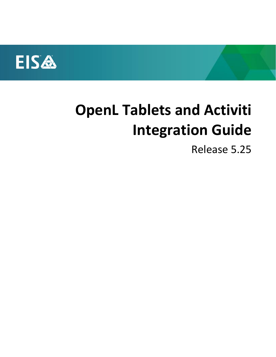

# **OpenL Tablets and Activiti Integration Guide**

Release 5.25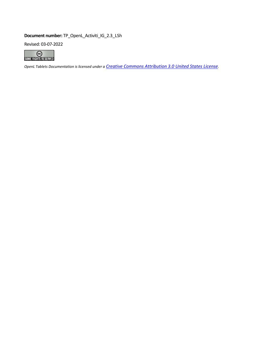### **Document number:** TP\_OpenL\_Activiti\_IG\_2.3\_LSh

Revised: 03-07-2022



*OpenL Tablets Documentation is licensed under a [Creative Commons Attribution 3.0 United States License](http://creativecommons.org/licenses/by/3.0/us/).*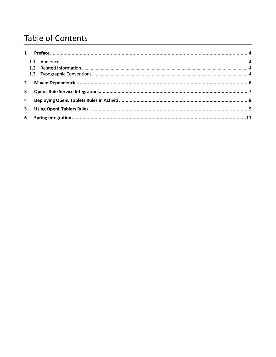### **Table of Contents**

| $\mathbf{2}$   |  |
|----------------|--|
| $\mathbf{3}$   |  |
| $\overline{4}$ |  |
| 5.             |  |
|                |  |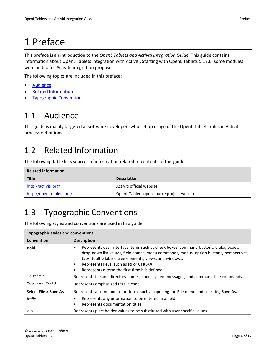<span id="page-3-0"></span>This preface is an introduction to the *OpenL Tablets and Activiti Integration Guide*. This guide contains information about OpenL Tablets integration with Activiti. Starting with OpenL Tablets 5.17.0, some modules were added for Activiti integration proposes.

The following topics are included in this preface:

- **[Audience](#page-3-1)**
- [Related Information](#page-3-2)
- <span id="page-3-1"></span>**[Typographic Conventions](#page-3-3)**

### 1.1 Audience

This guide is mainly targeted at software developers who set up usage of the OpenL Tablets rules in Activiti process definitions.

### <span id="page-3-2"></span>1.2 Related Information

The following table lists sources of information related to contents of this guide:

| <b>Related information</b> |                                            |  |
|----------------------------|--------------------------------------------|--|
| <b>Title</b>               | <b>Description</b>                         |  |
| http://activiti.org/       | Activiti official website.                 |  |
| http://openl-tablets.org/  | OpenL Tablets open source project website. |  |

### <span id="page-3-3"></span>1.3 Typographic Conventions

The following styles and conventions are used in this guide:

| <b>Typographic styles and conventions</b>                                                                      |                                                                                                                                                                                                                                                                                                                                              |  |
|----------------------------------------------------------------------------------------------------------------|----------------------------------------------------------------------------------------------------------------------------------------------------------------------------------------------------------------------------------------------------------------------------------------------------------------------------------------------|--|
| Convention                                                                                                     | <b>Description</b>                                                                                                                                                                                                                                                                                                                           |  |
| <b>Bold</b>                                                                                                    | Represents user interface items such as check boxes, command buttons, dialog boxes,<br>٠<br>drop-down list values, field names, menu commands, menus, option buttons, perspectives,<br>tabs, tooltip labels, tree elements, views, and windows.<br>Represents keys, such as F9 or CTRL+A.<br>Represents a term the first time it is defined. |  |
| Courier                                                                                                        | Represents file and directory names, code, system messages, and command-line commands.                                                                                                                                                                                                                                                       |  |
| Courier Bold                                                                                                   | Represents emphasized text in code.                                                                                                                                                                                                                                                                                                          |  |
| Represents a command to perform, such as opening the File menu and selecting Save As.<br>Select File > Save As |                                                                                                                                                                                                                                                                                                                                              |  |
| <b>Italic</b>                                                                                                  | Represents any information to be entered in a field.<br>Represents documentation titles.                                                                                                                                                                                                                                                     |  |
| $\langle$ >                                                                                                    | Represents placeholder values to be substituted with user specific values.                                                                                                                                                                                                                                                                   |  |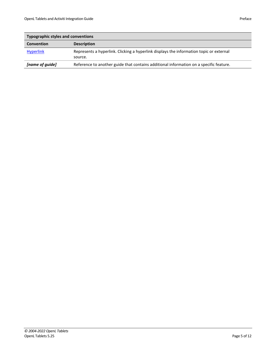| <b>Typographic styles and conventions</b> |                                                                                                    |  |
|-------------------------------------------|----------------------------------------------------------------------------------------------------|--|
| <b>Convention</b><br><b>Description</b>   |                                                                                                    |  |
| <b>Hyperlink</b>                          | Represents a hyperlink. Clicking a hyperlink displays the information topic or external<br>source. |  |
| [name of guide]                           | Reference to another guide that contains additional information on a specific feature.             |  |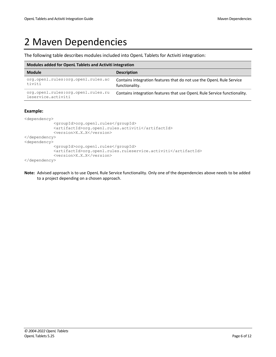### <span id="page-5-0"></span>2 Maven Dependencies

The following table describes modules included into OpenL Tablets for Activiti integration:

| Modules added for OpenL Tablets and Activiti integration |                                                                                        |  |
|----------------------------------------------------------|----------------------------------------------------------------------------------------|--|
| <b>Module</b>                                            | <b>Description</b>                                                                     |  |
| org.openl.rules:org.openl.rules.ac<br>tiviti             | Contains integration features that do not use the OpenL Rule Service<br>functionality. |  |
| org.openl.rules:org.openl.rules.ru<br>leservice.activiti | Contains integration features that use OpenL Rule Service functionality.               |  |

### **Example:**

```
<dependency>
             <groupId>org.openl.rules</groupId>
             <artifactId>org.openl.rules.activiti</artifactId>
             <version>X.X.X</version>
</dependency>
<dependency>
             <groupId>org.openl.rules</groupId>
             <artifactId>org.openl.rules.ruleservice.activiti</artifactId>
             <version>X.X.X</version>
</dependency>
```
**Note:** Advised approach is to use OpenL Rule Service functionality. Only one of the dependencies above needs to be added to a project depending on a chosen approach.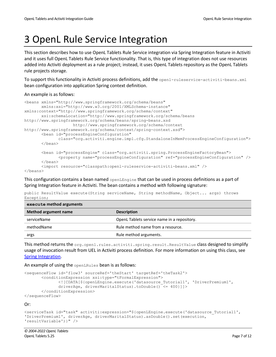# <span id="page-6-0"></span>3 OpenL Rule Service Integration

This section describes how to use OpenL Tablets Rule Service integration via Spring Integration feature in Activiti and it uses full OpenL Tablets Rule Service functionality. That is, this type of integration does not use resources added into Activiti deployment as a rule project; instead, it uses OpenL Tablets repository as the OpenL Tablets rule projects storage.

To support this functionality in Activiti process definitions, add the openl-ruleservice-activiti-beans.xml bean configuration into application Spring context definition.

An example is as follows:

**execute method arguments**

```
<beans xmlns="http://www.springframework.org/schema/beans"
        xmlns:xsi="http://www.w3.org/2001/XMLSchema-instance" 
xmlns:context="http://www.springframework.org/schema/context"
        xsi:schemaLocation="http://www.springframework.org/schema/beans 
http://www.springframework.org/schema/beans/spring-beans.xsd
                     http://www.springframework.org/schema/context 
http://www.springframework.org/schema/context/spring-context.xsd">
        <bean id="processEngineConfiguration"
               class="org.activiti.engine.impl.cfg.StandaloneInMemProcessEngineConfiguration">
        </bean>
        <bean id="processEngine" class="org.activiti.spring.ProcessEngineFactoryBean">
               <property name="processEngineConfiguration" ref="processEngineConfiguration" />
        </bean>
        <import resource="classpath:openl-ruleservice-activiti-beans.xml" />
```
</beans>

This configuration contains a bean named openLEngine that can be used in process definitions as a part of Spring Integration feature in Activiti. The bean contains a method with following signature:

public ResultValue execute(String serviceName, String methodName, Object... args) throws Exception;

| execute method arguments    |                                             |  |
|-----------------------------|---------------------------------------------|--|
| <b>Method argument name</b> | <b>Description</b>                          |  |
| serviceName                 | OpenL Tablets service name in a repository. |  |
| methodName                  | Rule method name from a resource.           |  |
| args                        | Rule method arguments.                      |  |
|                             |                                             |  |

This method returns the org.openl.rules.activiti.spring.result.ResultValue class designed to simplify usage of invocation result from UEL in Activiti process definition. For more information on using this class, see [Spring Integration.](#page-10-0)

An example of using the openLRules bean is as follows:

```
<sequenceFlow id='flow3' sourceRef='theStart' targetRef='theTask2'>
        <conditionExpression xsi:type="tFormalExpression">
               <![CDATA[${openLEngine.execute('datasource_Tutorial1', 'DriverPremium1', 
               driverAge, driverMaritalStatus).toDouble() <= 400}]]>
        </conditionExpression>
</sequenceFlow>
```
Or:

```
<serviceTask id="task" activiti:expression="${openLEngine.execute('datasource_Tutorial1', 
'DriverPremium1', driverAge, driverMaritalStatus).asDouble().set(execution, 
'resultVariable')}" />
```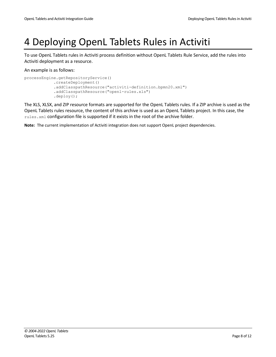# <span id="page-7-0"></span>4 Deploying OpenL Tablets Rules in Activiti

To use OpenL Tablets rules in Activiti process definition without OpenL Tablets Rule Service, add the rules into Activiti deployment as a resource.

An example is as follows:

```
processEngine.getRepositoryService()
             .createDeployment()
             .addClasspathResource("activiti-definition.bpmn20.xml")
             .addClasspathResource("openl-rules.xls")
             .deploy();
```
The XLS, XLSX, and ZIP resource formats are supported for the OpenL Tablets rules. If a ZIP archive is used as the OpenL Tablets rules resource, the content of this archive is used as an OpenL Tablets project. In this case, the rules. xml configuration file is supported if it exists in the root of the archive folder.

**Note:** The current implementation of Activiti integration does not support OpenL project dependencies.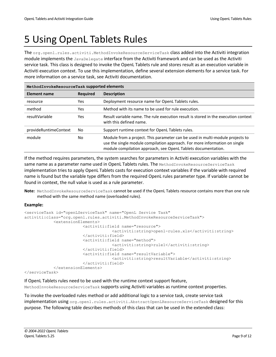# <span id="page-8-0"></span>5 Using OpenL Tablets Rules

The org.openl.rules.activiti.MethodInvokeResourceServiceTask class added into the Activiti integration module implements the JavaDelegate interface from the Activiti framework and can be used as the Activiti service task. This class is designed to invoke the OpenL Tablets rule and stores result as an execution variable in Activiti execution context. To use this implementation, define several extension elements for a service task. For more information on a service task, see Activiti documentation.

| MethodInvokeResourceTask supported elements |     |                                                                                                                                                                                                                              |  |
|---------------------------------------------|-----|------------------------------------------------------------------------------------------------------------------------------------------------------------------------------------------------------------------------------|--|
| <b>Element name</b><br><b>Required</b>      |     | <b>Description</b>                                                                                                                                                                                                           |  |
| resource                                    | Yes | Deployment resource name for OpenL Tablets rules.                                                                                                                                                                            |  |
| method<br>Yes                               |     | Method with its name to be used for rule execution.                                                                                                                                                                          |  |
| resultVariable                              | Yes | Result variable name. The rule execution result is stored in the execution context<br>with this defined name.                                                                                                                |  |
| provideRuntimeContext                       | No. | Support runtime context for OpenL Tablets rules.                                                                                                                                                                             |  |
| module                                      | No  | Module from a project. This parameter can be used in multi-module projects to<br>use the single module compilation approach. For more information on single<br>module compilation approach, see OpenL Tablets documentation. |  |

If the method requires parameters, the system searches for parameters in Activiti execution variables with the same name as a parameter name used in OpenL Tablets rules. The MethodInvokeResourceServiceTask implementation tries to apply OpenL Tablets casts for execution context variables if the variable with required name is found but the variable type differs from the required OpenL rules parameter type. If variable cannot be found in context, the null value is used as a rule parameter.

**Note:** MethodInvokeResourceServiceTask cannot be used if the OpenL Tablets resource contains more than one rule method with the same method name (overloaded rules).

### **Example:**

```
<serviceTask id="openLServiceTask" name="OpenL Service Task"
activiti:class="org.openl.rules.activiti.MethodInvokeResourceServiceTask">
             <extensionElements>
                         <activiti:field name="resource">
                                      <activiti:string>openl-rules.xls</activiti:string>
                          </activiti:field>
                          <activiti:field name="method">
                                      <activiti:string>rule1</activiti:string>
                          </activiti:field>
                          <activiti:field name="resultVariable">
                                      <activiti:string>resultVariable</activiti:string>
                          </activiti:field>
             </extensionElements>
</serviceTask>
```
#### If OpenL Tablets rules need to be used with the runtime context support feature,

MethodInvokeResourceServiceTask supports using Activiti variables as runtime context properties.

To invoke the overloaded rules method or add additional logic to a service task, create service task implementation using org.openl.rules.activiti.AbstractOpenLResourceServiceTask designed for this purpose. The following table describes methods of this class that can be used in the extended class: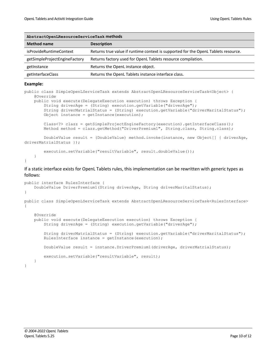| AbstractOpenLResourceServiceTask methods |                                                                                    |  |  |
|------------------------------------------|------------------------------------------------------------------------------------|--|--|
| <b>Method name</b>                       | <b>Description</b>                                                                 |  |  |
| isProvideRuntimeContext                  | Returns true value if runtime context is supported for the OpenL Tablets resource. |  |  |
| getSimpleProjectEngineFactory            | Returns factory used for OpenL Tablets resource compilation.                       |  |  |
| getInstance                              | Returns the OpenL instance object.                                                 |  |  |
| getInterfaceClass                        | Returns the OpenL Tablets instance interface class.                                |  |  |

#### **Example:**

}

```
public class SimpleOpenLServiceTask extends AbstractOpenLResourceServiceTask<Object> {
     @Override
     public void execute(DelegateExecution execution) throws Exception {
         String driverAge = (String) execution.getVariable("driverAge");
         String driverMatrialStatus = (String) execution.getVariable("driverMaritalStatus");
        Object instance = qetInstance(execution);
         Class<?> clazz = getSimpleProjectEngineFactory(execution).getInterfaceClass();
        Method method = clazz.getMethod("DriverPremium1", String.class, String.class);
         DoubleValue result = (DoubleValue) method.invoke(instance, new Object[] { driverAge, 
driverMatrialStatus });
         execution.setVariable("resultVariable", result.doubleValue());
     }
```
If a static interface exists for OpenL Tablets rules, this implementation can be rewritten with generic types as follows:

```
public interface RulesInterface {
     DoubleValue DriverPremium1(String driverAge, String driverMaritalStatus); 
}
public class SimpleOpenLServiceTask extends AbstractOpenLResourceServiceTask<RulesInterface> 
{
     @Override
     public void execute(DelegateExecution execution) throws Exception {
         String driverAge = (String) execution.getVariable("driverAge");
         String driverMatrialStatus = (String) execution.getVariable("driverMaritalStatus");
        RulesInterface instance = getInstance(execution);
         DoubleValue result = instance.DriverPremium1(driverAge, driverMatrialStatus);
         execution.setVariable("resultVariable", result);
     }
}
```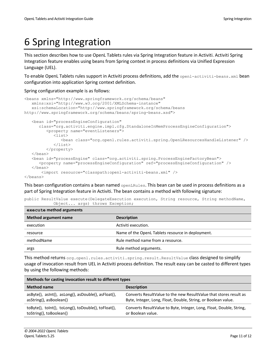# <span id="page-10-0"></span>6 Spring Integration

This section describes how to use OpenL Tablets rules via Spring Integration feature in Activiti. Activiti Spring Integration feature enables using beans from Spring context in process definitions via Unified Expression Language (UEL).

To enable OpenL Tablets rules support in Activiti process definitions, add the openl-activiti-beans.xml bean configuration into application Spring context definition.

### Spring configuration example is as follows:

```
<beans xmlns="http://www.springframework.org/schema/beans"
    xmlns:xsi="http://www.w3.org/2001/XMLSchema-instance"
    xsi:schemaLocation="http://www.springframework.org/schema/beans 
http://www.springframework.org/schema/beans/spring-beans.xsd">
    <bean id="processEngineConfiguration"
       class="org.activiti.engine.impl.cfg.StandaloneInMemProcessEngineConfiguration">
          <property name="eventListeners">
             <list>
                <bean class="org.openl.rules.activiti.spring.OpenLResourcesHandleListener" />
            \langlelist>
          </property>
   \langle/bean>
    <bean id="processEngine" class="org.activiti.spring.ProcessEngineFactoryBean">
       <property name="processEngineConfiguration" ref="processEngineConfiguration" />
    </bean>
        <import resource="classpath:openl-activiti-beans.xml" />
</beans>
```
This bean configuration contains a bean named openLRules. This bean can be used in process definitions as a part of Spring Integration feature in Activiti. The bean contains a method with following signature:

|  | public ResultValue execute (DelegateExecution execution, String resource, String methodName, |  |  |  |
|--|----------------------------------------------------------------------------------------------|--|--|--|
|  | Object args) throws Exception;                                                               |  |  |  |

| execute method arguments    |                                                   |  |
|-----------------------------|---------------------------------------------------|--|
| <b>Method argument name</b> | <b>Description</b>                                |  |
| execution                   | Activiti execution.                               |  |
| resource                    | Name of the OpenL Tablets resource in deployment. |  |
| methodName                  | Rule method name from a resource.                 |  |
| args                        | Rule method arguments.                            |  |

This method returns org.openl.rules.activiti.spring.result.ResultValue class designed to simplify usage of invocation result from UEL in Activiti process definition. The result easy can be casted to different types by using the following methods:

| Methods for casting invocation result to different types |                                                                     |  |
|----------------------------------------------------------|---------------------------------------------------------------------|--|
| <b>Method name</b>                                       | <b>Description</b>                                                  |  |
| asByte(), asInt(), asLong(), asDouble(), asFloat(),      | Converts ResultValue to the new ResultValue that stores result as   |  |
| asString(), asBoolean()                                  | Byte, Integer, Long, Float, Double, String, or Boolean value.       |  |
| toByte(), tolnt(), toLong(), toDouble(), toFloat(),      | Converts ResultValue to Byte, Integer, Long, Float, Double, String, |  |
| toString(), toBoolean()                                  | or Boolean value.                                                   |  |